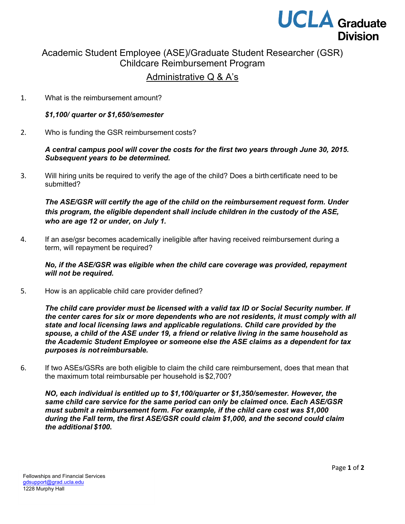

# Academic Student Employee (ASE)/Graduate Student Researcher (GSR) Childcare Reimbursement Program

## Administrative Q & A's

1. What is the reimbursement amount?

#### *\$1,100/ quarter or \$1,650/semester*

2. Who is funding the GSR reimbursement costs?

#### *A central campus pool will cover the costs for the first two years through June 30, 2015. Subsequent years to be determined.*

3. Will hiring units be required to verify the age of the child? Does a birth certificate need to be submitted?

### *The ASE/GSR will certify the age of the child on the reimbursement request form. Under this program, the eligible dependent shall include children in the custody of the ASE, who are age 12 or under, on July 1.*

4. If an ase/gsr becomes academically ineligible after having received reimbursement during a term, will repayment be required?

*No, if the ASE/GSR was eligible when the child care coverage was provided, repayment will not be required.*

5. How is an applicable child care provider defined?

*The child care provider must be licensed with a valid tax ID or Social Security number. If the center cares for six or more dependents who are not residents, it must comply with all state and local licensing laws and applicable regulations. Child care provided by the spouse, a child of the ASE under 19, a friend or relative living in the same household as the Academic Student Employee or someone else the ASE claims as a dependent for tax purposes is notreimbursable.*

6. If two ASEs/GSRs are both eligible to claim the child care reimbursement, does that mean that the maximum total reimbursable per household is \$2,700?

*NO, each individual is entitled up to \$1,100/quarter or \$1,350/semester. However, the same child care service for the same period can only be claimed once. Each ASE/GSR must submit a reimbursement form. For example, if the child care cost was \$1,000 during the Fall term, the first ASE/GSR could claim \$1,000, and the second could claim the additional \$100.*